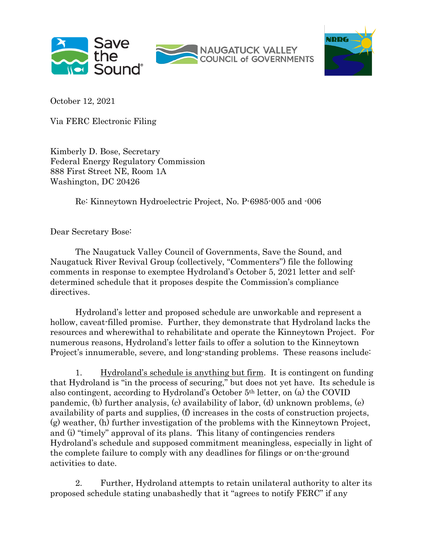



October 12, 2021

Via FERC Electronic Filing

Kimberly D. Bose, Secretary Federal Energy Regulatory Commission 888 First Street NE, Room 1A Washington, DC 20426

Re: Kinneytown Hydroelectric Project, No. P-6985-005 and -006

Dear Secretary Bose:

The Naugatuck Valley Council of Governments, Save the Sound, and Naugatuck River Revival Group (collectively, "Commenters") file the following comments in response to exemptee Hydroland's October 5, 2021 letter and selfdetermined schedule that it proposes despite the Commission's compliance directives.

Hydroland's letter and proposed schedule are unworkable and represent a hollow, caveat-filled promise. Further, they demonstrate that Hydroland lacks the resources and wherewithal to rehabilitate and operate the Kinneytown Project. For numerous reasons, Hydroland's letter fails to offer a solution to the Kinneytown Project's innumerable, severe, and long-standing problems. These reasons include:

1. Hydroland's schedule is anything but firm. It is contingent on funding that Hydroland is "in the process of securing," but does not yet have. Its schedule is also contingent, according to Hydroland's October 5th letter, on (a) the COVID pandemic, (b) further analysis, (c) availability of labor, (d) unknown problems, (e) availability of parts and supplies, (f) increases in the costs of construction projects, (g) weather, (h) further investigation of the problems with the Kinneytown Project, and (i) "timely" approval of its plans. This litany of contingencies renders Hydroland's schedule and supposed commitment meaningless, especially in light of the complete failure to comply with any deadlines for filings or on-the-ground activities to date.

2. Further, Hydroland attempts to retain unilateral authority to alter its proposed schedule stating unabashedly that it "agrees to notify FERC" if any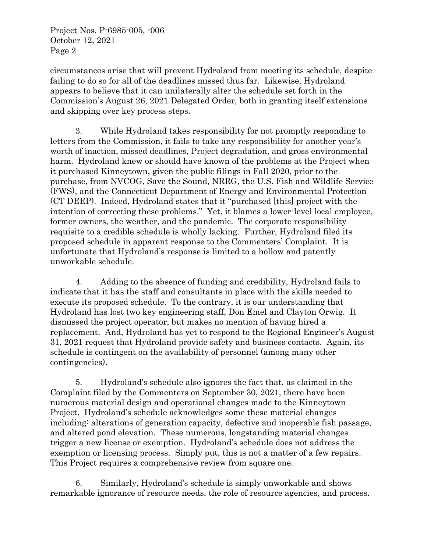Project Nos. P-6985-005, -006 October 12, 2021 Page 2

circumstances arise that will prevent Hydroland from meeting its schedule, despite failing to do so for all of the deadlines missed thus far. Likewise, Hydroland appears to believe that it can unilaterally alter the schedule set forth in the Commission's August 26, 2021 Delegated Order, both in granting itself extensions and skipping over key process steps.

3. While Hydroland takes responsibility for not promptly responding to letters from the Commission, it fails to take any responsibility for another year's worth of inaction, missed deadlines, Project degradation, and gross environmental harm. Hydroland knew or should have known of the problems at the Project when it purchased Kinneytown, given the public filings in Fall 2020, prior to the purchase, from NVCOG, Save the Sound, NRRG, the U.S. Fish and Wildlife Service (FWS), and the Connecticut Department of Energy and Environmental Protection (CT DEEP). Indeed, Hydroland states that it "purchased [this] project with the intention of correcting these problems." Yet, it blames a lower-level local employee, former owners, the weather, and the pandemic. The corporate responsibility requisite to a credible schedule is wholly lacking. Further, Hydroland filed its proposed schedule in apparent response to the Commenters' Complaint. It is unfortunate that Hydroland's response is limited to a hollow and patently unworkable schedule.

4. Adding to the absence of funding and credibility, Hydroland fails to indicate that it has the staff and consultants in place with the skills needed to execute its proposed schedule. To the contrary, it is our understanding that Hydroland has lost two key engineering staff, Don Emel and Clayton Orwig. It dismissed the project operator, but makes no mention of having hired a replacement. And, Hydroland has yet to respond to the Regional Engineer's August 31, 2021 request that Hydroland provide safety and business contacts. Again, its schedule is contingent on the availability of personnel (among many other contingencies).

5. Hydroland's schedule also ignores the fact that, as claimed in the Complaint filed by the Commenters on September 30, 2021, there have been numerous material design and operational changes made to the Kinneytown Project. Hydroland's schedule acknowledges some these material changes including: alterations of generation capacity, defective and inoperable fish passage, and altered pond elevation. These numerous, longstanding material changes trigger a new license or exemption. Hydroland's schedule does not address the exemption or licensing process. Simply put, this is not a matter of a few repairs. This Project requires a comprehensive review from square one.

6. Similarly, Hydroland's schedule is simply unworkable and shows remarkable ignorance of resource needs, the role of resource agencies, and process.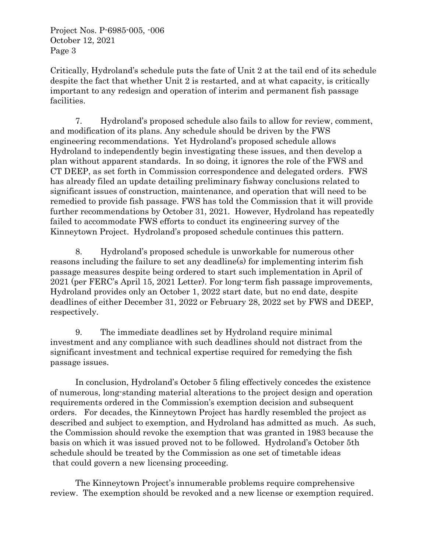Project Nos. P-6985-005, -006 October 12, 2021 Page 3

Critically, Hydroland's schedule puts the fate of Unit 2 at the tail end of its schedule despite the fact that whether Unit 2 is restarted, and at what capacity, is critically important to any redesign and operation of interim and permanent fish passage facilities.

7. Hydroland's proposed schedule also fails to allow for review, comment, and modification of its plans. Any schedule should be driven by the FWS engineering recommendations. Yet Hydroland's proposed schedule allows Hydroland to independently begin investigating these issues, and then develop a plan without apparent standards. In so doing, it ignores the role of the FWS and CT DEEP, as set forth in Commission correspondence and delegated orders. FWS has already filed an update detailing preliminary fishway conclusions related to significant issues of construction, maintenance, and operation that will need to be remedied to provide fish passage. FWS has told the Commission that it will provide further recommendations by October 31, 2021. However, Hydroland has repeatedly failed to accommodate FWS efforts to conduct its engineering survey of the Kinneytown Project. Hydroland's proposed schedule continues this pattern.

8. Hydroland's proposed schedule is unworkable for numerous other reasons including the failure to set any deadline(s) for implementing interim fish passage measures despite being ordered to start such implementation in April of 2021 (per FERC's April 15, 2021 Letter). For long-term fish passage improvements, Hydroland provides only an October 1, 2022 start date, but no end date, despite deadlines of either December 31, 2022 or February 28, 2022 set by FWS and DEEP, respectively.

9. The immediate deadlines set by Hydroland require minimal investment and any compliance with such deadlines should not distract from the significant investment and technical expertise required for remedying the fish passage issues.

In conclusion, Hydroland's October 5 filing effectively concedes the existence of numerous, long-standing material alterations to the project design and operation requirements ordered in the Commission's exemption decision and subsequent orders. For decades, the Kinneytown Project has hardly resembled the project as described and subject to exemption, and Hydroland has admitted as much. As such, the Commission should revoke the exemption that was granted in 1983 because the basis on which it was issued proved not to be followed. Hydroland's October 5th schedule should be treated by the Commission as one set of timetable ideas that could govern a new licensing proceeding.

The Kinneytown Project's innumerable problems require comprehensive review. The exemption should be revoked and a new license or exemption required.